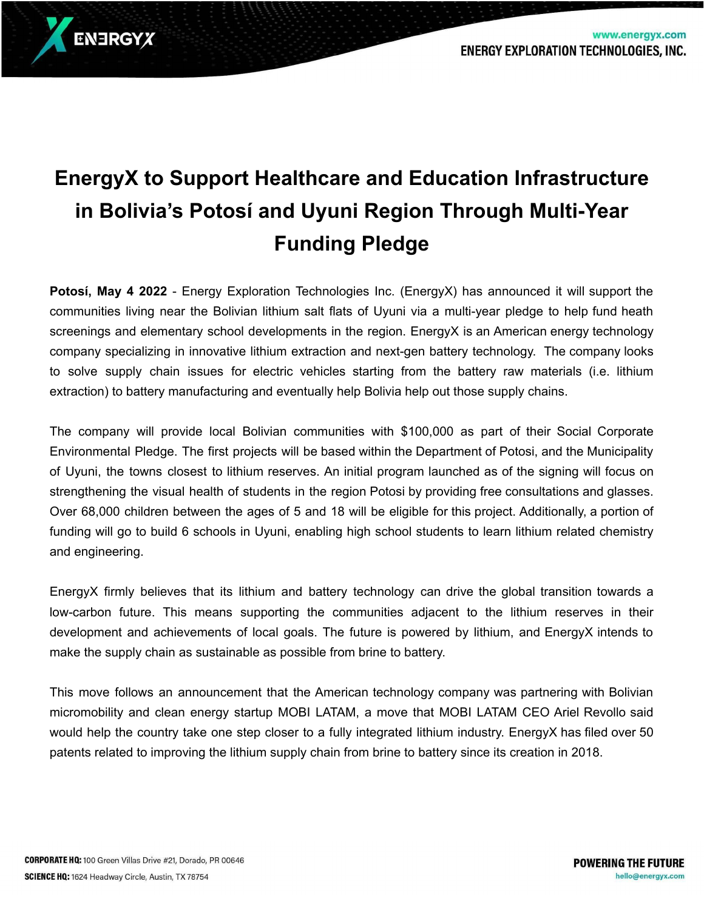www.energyx.com



**Potosí, May 4 2022** - Energy Exploration Technologies Inc. (EnergyX) has announced it will support the communities living near the Bolivian lithium salt flats of Uyuni via a multi-year pledge to help fund heath screenings and elementary school developments in the region. EnergyX is an American energy technology company specializing in innovative lithium extraction and next-gen battery technology. The company looks to solve supply chain issues for electric vehicles starting from the battery raw materials (i.e. lithium extraction) to battery manufacturing and eventually help Bolivia help out those supply chains.

The company will provide local Bolivian communities with \$100,000 as part of their Social Corporate Environmental Pledge. The first projects will be based within the Department of Potosi, and the Municipality of Uyuni, the towns closest to lithium reserves. An initial program launched as of the signing will focus on strengthening the visual health of students in the region Potosi by providing free consultations and glasses. Over 68,000 children between the ages of 5 and 18 will be eligible for this project. Additionally, a portion of funding will go to build 6 schools in Uyuni, enabling high school students to learn lithium related chemistry and engineering.

EnergyX firmly believes that its lithium and battery technology can drive the global transition towards a low-carbon future. This means supporting the communities adjacent to the lithium reserves in their development and achievements of local goals. The future is powered by lithium, and EnergyX intends to make the supply chain as sustainable as possible from brine to battery.

This move follows an announcement that the American technology company was partnering with Bolivian micromobility and clean energy startup MOBI LATAM, a move that MOBI LATAM CEO Ariel Revollo said would help the country take one step closer to a fully integrated lithium industry. EnergyX has filed over 50 patents related to improving the lithium supply chain from brine to battery since its creation in 2018.

ENERGYX